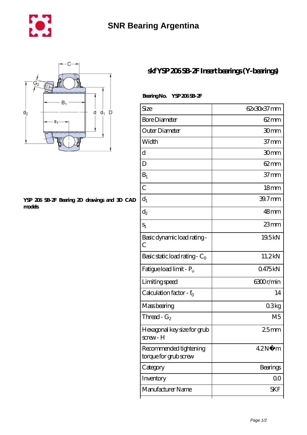



## **[YSP 206 SB-2F Bearing 2D drawings and 3D CAD](https://m.chilcotinlodge.com/pic-64960157.html) [models](https://m.chilcotinlodge.com/pic-64960157.html)**

## **[skf YSP 206 SB-2F Insert bearings \(Y-bearings\)](https://m.chilcotinlodge.com/bj-64960157-skf-ysp-206-sb-2f-insert-bearings-y-bearings.html)**

| <b>Bearing No.</b> | YSP 206SB 2F |
|--------------------|--------------|
|                    |              |

| Size                                            | 62x30x37mm         |
|-------------------------------------------------|--------------------|
| <b>Bore Diameter</b>                            | 62 mm              |
| Outer Diameter                                  | 30mm               |
| Width                                           | 37 <sub>mm</sub>   |
| d                                               | 30mm               |
| D                                               | $62 \text{mm}$     |
| $B_1$                                           | $37 \text{mm}$     |
| $\overline{C}$                                  | 18 <sub>mm</sub>   |
| $d_1$                                           | 39.7 <sub>mm</sub> |
| $\mathrm{d}_2$                                  | 48mm               |
| $S_1$                                           | $23$ mm            |
| Basic dynamic load rating-<br>$\mathcal C$      | 19.5kN             |
| Basic static load rating - $C_0$                | 11.2kN             |
| Fatigue load limit - Pu                         | 0475kN             |
| Limiting speed                                  | 6300r/min          |
| Calculation factor - $f_0$                      | 14                 |
| Mass bearing                                    | 03kg               |
| Thread - $G_2$                                  | M5                 |
| Hexagonal key size for grub<br>screw- H         | 25mm               |
| Recommended tightening<br>torque for grub screw | 42N<br>m           |
| Category                                        | Bearings           |
| Inventory                                       | 0 <sup>0</sup>     |
| Manufacturer Name                               | SKF                |
|                                                 |                    |